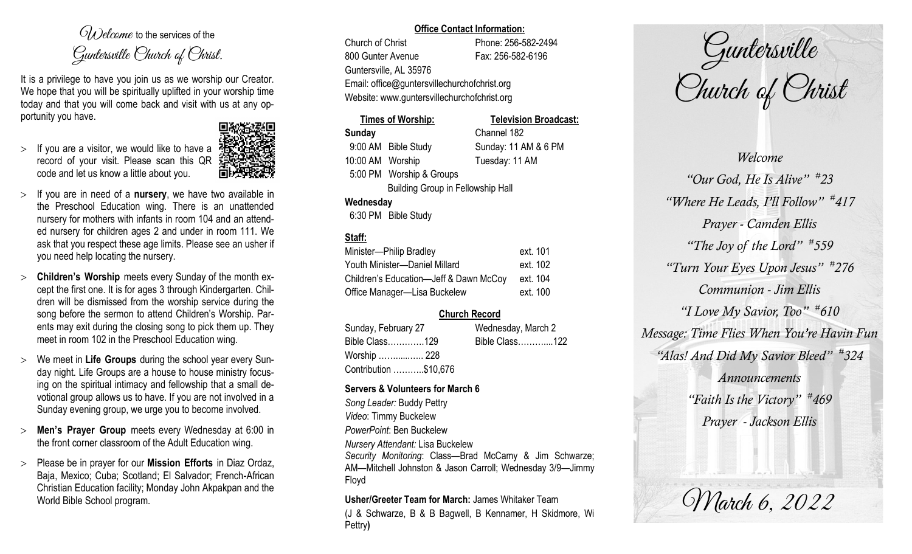$O(\lambda)$  elcame to the services of the Guntersville Church of Christ.

It is a privilege to have you join us as we worship our Creator. We hope that you will be spiritually uplifted in your worship time today and that you will come back and visit with us at any opportunity you have.

 $>$  If you are a visitor, we would like to have a record of your visit. Please scan this QR code and let us know a little about you.



- If you are in need of a **nursery**, we have two available in the Preschool Education wing. There is an unattended nursery for mothers with infants in room 104 and an attended nursery for children ages 2 and under in room 111. We ask that you respect these age limits. Please see an usher if you need help locating the nursery.
- **Children's Worship** meets every Sunday of the month except the first one. It is for ages 3 through Kindergarten. Children will be dismissed from the worship service during the song before the sermon to attend Children's Worship. Parents may exit during the closing song to pick them up. They meet in room 102 in the Preschool Education wing.
- We meet in **Life Groups** during the school year every Sunday night. Life Groups are a house to house ministry focusing on the spiritual intimacy and fellowship that a small devotional group allows us to have. If you are not involved in a Sunday evening group, we urge you to become involved.
- **Men's Prayer Group** meets every Wednesday at 6:00 in the front corner classroom of the Adult Education wing.
- Please be in prayer for our **Mission Efforts** in Diaz Ordaz, Baja, Mexico; Cuba; Scotland; El Salvador; French-African Christian Education facility; Monday John Akpakpan and the World Bible School program.

#### **Office Contact Information:**

Church of Christ Phone: 256-582-2494 800 Gunter Avenue Fax: 256-582-6196 Guntersville, AL 35976 Email: office@guntersvillechurchofchrist.org Website: www.guntersvillechurchofchrist.org

# **Times of Worship: Television Broadcast: Sunday** Channel 182 9:00 AM Bible Study Sunday: 11 AM & 6 PM 10:00 AM Worship Tuesday: 11 AM 5:00 PM Worship & Groups

Building Group in Fellowship Hall

### **Wednesday**

6:30 PM Bible Study

# **Staff:**

| Minister-Philip Bradley                | ext. 101 |
|----------------------------------------|----------|
| Youth Minister-Daniel Millard          | ext. 102 |
| Children's Education-Jeff & Dawn McCoy | ext. 104 |
| Office Manager-Lisa Buckelew           | ext. 100 |

# **Church Record**

| Sunday, February 27   | Wednesday, March 2 |                |  |
|-----------------------|--------------------|----------------|--|
| Bible Class129        |                    | Bible Class122 |  |
| Worship  228          |                    |                |  |
| Contribution \$10,676 |                    |                |  |

### **Servers & Volunteers for March 6**

*Song Leader:* Buddy Pettry *Video*: Timmy Buckelew *PowerPoint*: Ben Buckelew *Nursery Attendant:* Lisa Buckelew

*Security Monitoring*: Class—Brad McCamy & Jim Schwarze; AM—Mitchell Johnston & Jason Carroll; Wednesday 3/9—Jimmy Floyd

**Usher/Greeter Team for March:** James Whitaker Team

(J & Schwarze, B & B Bagwell, B Kennamer, H Skidmore, Wi Pettry**)** 

Guntersville Church of Christ

*Welcome "Our God, He Is Alive" # 23 "Where He Leads, I'll Follow" # 417 Prayer - Camden Ellis "The Joy of the Lord" # 559 "Turn Your Eyes Upon Jesus" # 276 Communion - Jim Ellis "I Love My Savior, Too" # 610 Message: Time Flies When You're Havin Fun "Alas! And Did My Savior Bleed" # 324 Announcements "Faith Is the Victory" # 469 Prayer - Jackson Ellis*

March 6, 2022